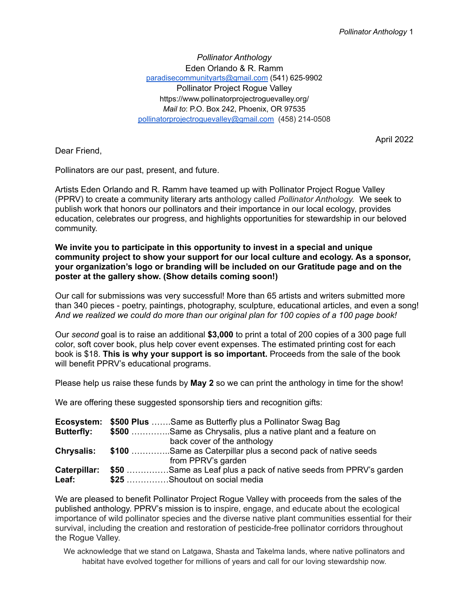*Pollinator Anthology* Eden Orlando & R. Ramm [paradisecommunityarts@gmail.com](mailto:paradisecommunityarts@gmail.com) (541) 625-9902 Pollinator Project Rogue Valley https://www.pollinatorprojectroguevalley.org/ *Mail to*: P.O. Box 242, Phoenix, OR 97535 [pollinatorprojectroguevalley@gmail.com](mailto:pollinatorprojectroguevalley@gmail.com) (458) 214-0508

April 2022

Dear Friend,

Pollinators are our past, present, and future.

Artists Eden Orlando and R. Ramm have teamed up with Pollinator Project Rogue Valley (PPRV) to create a community literary arts anthology called *Pollinator Anthology.* We seek to publish work that honors our pollinators and their importance in our local ecology, provides education, celebrates our progress, and highlights opportunities for stewardship in our beloved community.

**We invite you to participate in this opportunity to invest in a special and unique community project to show your support for our local culture and ecology. As a sponsor, your organization's logo or branding will be included on our Gratitude page and on the poster at the gallery show. (Show details coming soon!)**

Our call for submissions was very successful! More than 65 artists and writers submitted more than 340 pieces - poetry, paintings, photography, sculpture, educational articles, and even a song! *And we realized we could do more than our original plan for 100 copies of a 100 page book!*

Our *second* goal is to raise an additional **\$3,000** to print a total of 200 copies of a 300 page full color, soft cover book, plus help cover event expenses. The estimated printing cost for each book is \$18. **This is why your support is so important.** Proceeds from the sale of the book will benefit PPRV's educational programs.

Please help us raise these funds by **May 2** so we can print the anthology in time for the show!

We are offering these suggested sponsorship tiers and recognition gifts:

| Ecosystem:        | \$500 Plus Same as Butterfly plus a Pollinator Swag Bag                            |
|-------------------|------------------------------------------------------------------------------------|
| <b>Butterfly:</b> | \$500 Same as Chrysalis, plus a native plant and a feature on                      |
|                   | back cover of the anthology                                                        |
| <b>Chrysalis:</b> | \$100 Same as Caterpillar plus a second pack of native seeds<br>from PPRV's garden |
|                   |                                                                                    |
| Caterpillar:      | \$50 Same as Leaf plus a pack of native seeds from PPRV's garden                   |
| Leaf:             | \$25 Shoutout on social media                                                      |

We are pleased to benefit Pollinator Project Rogue Valley with proceeds from the sales of the published anthology. PPRV's mission is to inspire, engage, and educate about the ecological importance of wild pollinator species and the diverse native plant communities essential for their survival, including the creation and restoration of pesticide-free pollinator corridors throughout the Rogue Valley.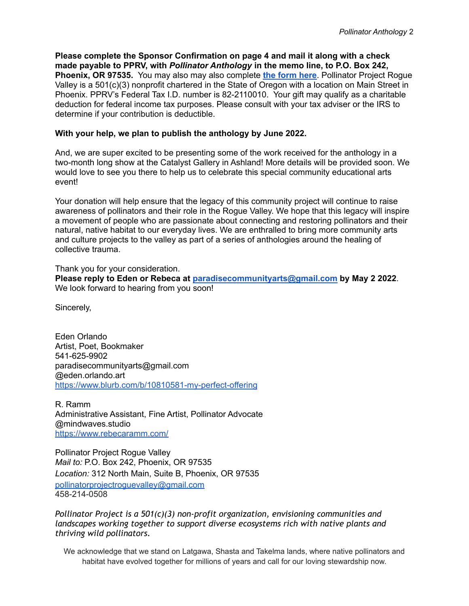**Please complete the Sponsor Confirmation on page 4 and mail it along with a check made payable to PPRV, with** *Pollinator Anthology* **in the memo line, to P.O. Box 242, Phoenix, OR 97535.** You may also may also complete **the [form](https://www.pollinatorprojectroguevalley.org/pollinator-anthology-anthologia) here**. Pollinator Project Rogue Valley is a 501(c)(3) nonprofit chartered in the State of Oregon with a location on Main Street in Phoenix. PPRV's Federal Tax I.D. number is 82-2110010. Your gift may qualify as a charitable deduction for federal income tax purposes. Please consult with your tax adviser or the IRS to determine if your contribution is deductible.

## **With your help, we plan to publish the anthology by June 2022.**

And, we are super excited to be presenting some of the work received for the anthology in a two-month long show at the Catalyst Gallery in Ashland! More details will be provided soon. We would love to see you there to help us to celebrate this special community educational arts event!

Your donation will help ensure that the legacy of this community project will continue to raise awareness of pollinators and their role in the Rogue Valley. We hope that this legacy will inspire a movement of people who are passionate about connecting and restoring pollinators and their natural, native habitat to our everyday lives. We are enthralled to bring more community arts and culture projects to the valley as part of a series of anthologies around the healing of collective trauma.

Thank you for your consideration.

**Please reply to Eden or Rebeca at [paradisecommunityarts@gmail.com](mailto:paradisecommunityarts@gmail.com) by May 2 2022**. We look forward to hearing from you soon!

Sincerely,

Eden Orlando Artist, Poet, Bookmaker 541-625-9902 paradisecommunityarts@gmail.com @eden.orlando.art <https://www.blurb.com/b/10810581-my-perfect-offering>

R. Ramm Administrative Assistant, Fine Artist, Pollinator Advocate @mindwaves.studio <https://www.rebecaramm.com/>

Pollinator Project Rogue Valley *Mail to:* P.O. Box 242, Phoenix, OR 97535 *Location:* 312 North Main, Suite B, Phoenix, OR 97535 [pollinatorprojectroguevalley@gmail.com](mailto:pollinatorprojectroguevalley@gmail.com) 458-214-0508

*Pollinator Project is a 501(c)(3) non-profit organization, envisioning communities and landscapes working together to support diverse ecosystems rich with native plants and thriving wild pollinators.*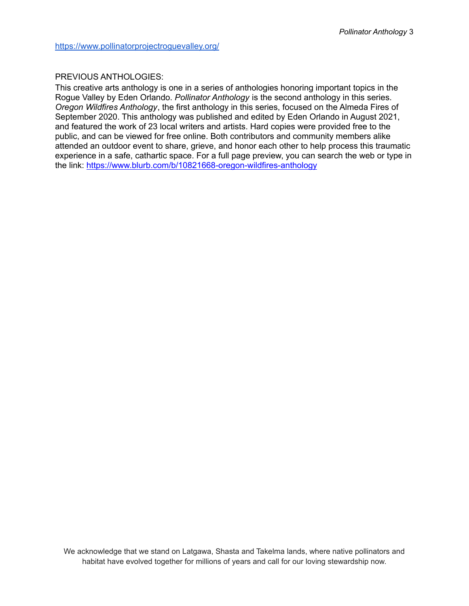## PREVIOUS ANTHOLOGIES:

This creative arts anthology is one in a series of anthologies honoring important topics in the Rogue Valley by Eden Orlando. *Pollinator Anthology* is the second anthology in this series. *Oregon Wildfires Anthology*, the first anthology in this series, focused on the Almeda Fires of September 2020. This anthology was published and edited by Eden Orlando in August 2021, and featured the work of 23 local writers and artists. Hard copies were provided free to the public, and can be viewed for free online. Both contributors and community members alike attended an outdoor event to share, grieve, and honor each other to help process this traumatic experience in a safe, cathartic space. For a full page preview, you can search the web or type in the link: <https://www.blurb.com/b/10821668-oregon-wildfires-anthology>